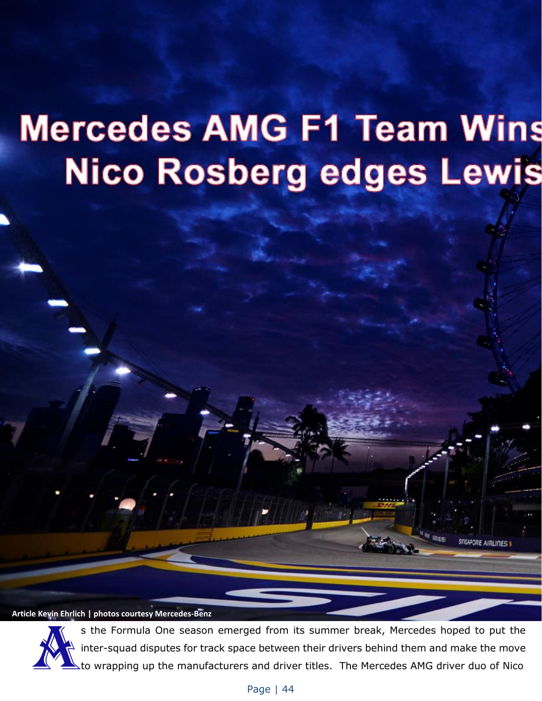# **Mercedes AMG F1 Team Wins Nico Rosberg edges Lewis**

**Article Kevin Ehrlich | photos courtesy Mercedes-Benz**



s the Formula One season emerged from its summer break, Mercedes hoped to put the inter-squad disputes for track space between their drivers behind them and make the move<br>Ato wrapping up the manufacturers and driver titles. The Mercedes AMG driver duo of Nico

**GAPORE AIRLINES!**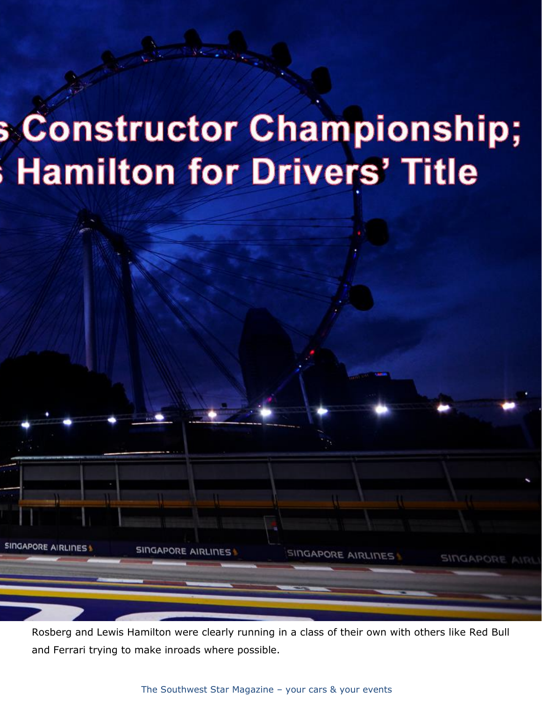# **S** Constructor Championship; **Hamilton for Drivers' Title**

Rosberg and Lewis Hamilton were clearly running in a class of their own with others like Red Bull and Ferrari trying to make inroads where possible.

SINGAPORE AIRLINES

SINGAPORE AIRLI

**SINGAPORE AIRLINESS** 

**SINGAPORE**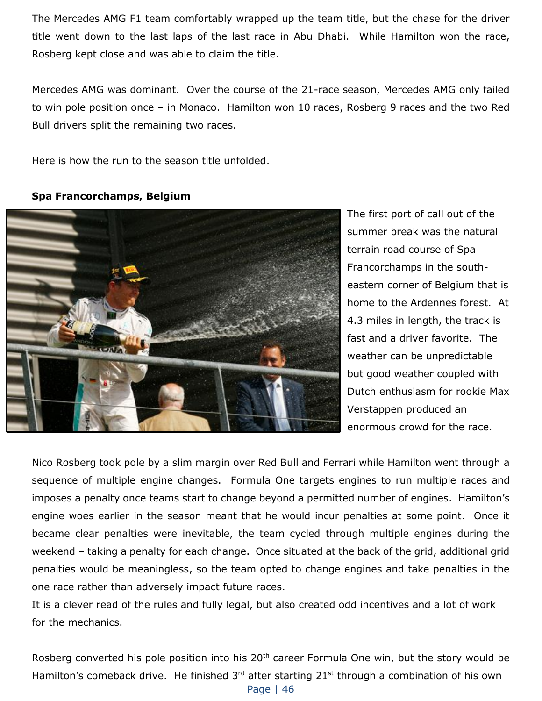The Mercedes AMG F1 team comfortably wrapped up the team title, but the chase for the driver title went down to the last laps of the last race in Abu Dhabi. While Hamilton won the race, Rosberg kept close and was able to claim the title.

Mercedes AMG was dominant. Over the course of the 21-race season, Mercedes AMG only failed to win pole position once – in Monaco. Hamilton won 10 races, Rosberg 9 races and the two Red Bull drivers split the remaining two races.

Here is how the run to the season title unfolded.

### **Spa Francorchamps, Belgium**



The first port of call out of the summer break was the natural terrain road course of Spa Francorchamps in the southeastern corner of Belgium that is home to the Ardennes forest. At 4.3 miles in length, the track is fast and a driver favorite. The weather can be unpredictable but good weather coupled with Dutch enthusiasm for rookie Max Verstappen produced an enormous crowd for the race.

Nico Rosberg took pole by a slim margin over Red Bull and Ferrari while Hamilton went through a sequence of multiple engine changes. Formula One targets engines to run multiple races and imposes a penalty once teams start to change beyond a permitted number of engines. Hamilton's engine woes earlier in the season meant that he would incur penalties at some point. Once it became clear penalties were inevitable, the team cycled through multiple engines during the weekend – taking a penalty for each change. Once situated at the back of the grid, additional grid penalties would be meaningless, so the team opted to change engines and take penalties in the one race rather than adversely impact future races.

It is a clever read of the rules and fully legal, but also created odd incentives and a lot of work for the mechanics.

Rosberg converted his pole position into his 20<sup>th</sup> career Formula One win, but the story would be Hamilton's comeback drive. He finished  $3<sup>rd</sup>$  after starting  $21<sup>st</sup>$  through a combination of his own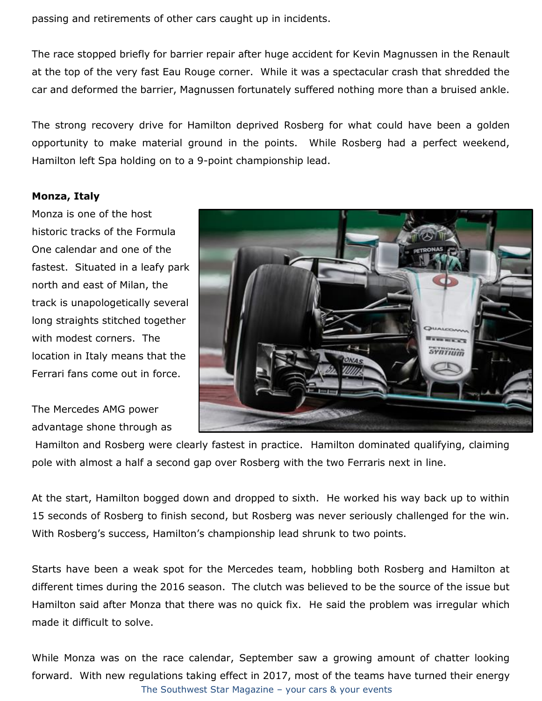passing and retirements of other cars caught up in incidents.

The race stopped briefly for barrier repair after huge accident for Kevin Magnussen in the Renault at the top of the very fast Eau Rouge corner. While it was a spectacular crash that shredded the car and deformed the barrier, Magnussen fortunately suffered nothing more than a bruised ankle.

The strong recovery drive for Hamilton deprived Rosberg for what could have been a golden opportunity to make material ground in the points. While Rosberg had a perfect weekend, Hamilton left Spa holding on to a 9-point championship lead.

#### **Monza, Italy**

Monza is one of the host historic tracks of the Formula One calendar and one of the fastest. Situated in a leafy park north and east of Milan, the track is unapologetically several long straights stitched together with modest corners. The location in Italy means that the Ferrari fans come out in force.

The Mercedes AMG power advantage shone through as



Hamilton and Rosberg were clearly fastest in practice. Hamilton dominated qualifying, claiming pole with almost a half a second gap over Rosberg with the two Ferraris next in line.

At the start, Hamilton bogged down and dropped to sixth. He worked his way back up to within 15 seconds of Rosberg to finish second, but Rosberg was never seriously challenged for the win. With Rosberg's success, Hamilton's championship lead shrunk to two points.

Starts have been a weak spot for the Mercedes team, hobbling both Rosberg and Hamilton at different times during the 2016 season. The clutch was believed to be the source of the issue but Hamilton said after Monza that there was no quick fix. He said the problem was irregular which made it difficult to solve.

The Southwest Star Magazine – your cars & your events While Monza was on the race calendar, September saw a growing amount of chatter looking forward. With new regulations taking effect in 2017, most of the teams have turned their energy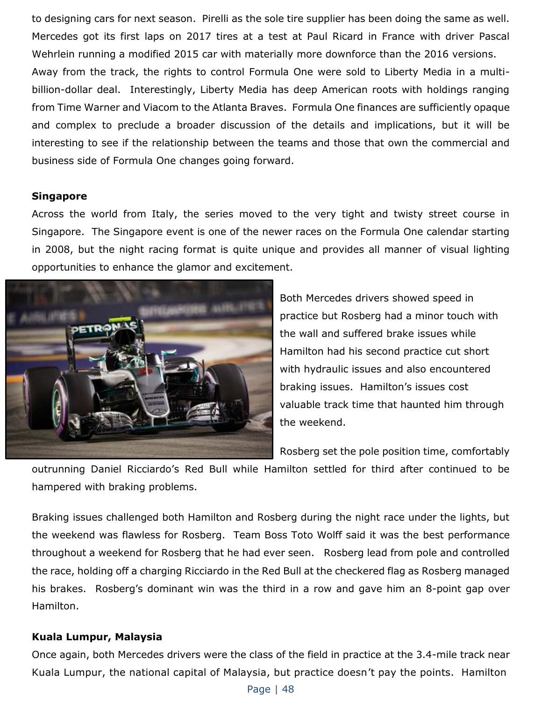to designing cars for next season. Pirelli as the sole tire supplier has been doing the same as well. Mercedes got its first laps on 2017 tires at a test at Paul Ricard in France with driver Pascal Wehrlein running a modified 2015 car with materially more downforce than the 2016 versions. Away from the track, the rights to control Formula One were sold to Liberty Media in a multibillion-dollar deal. Interestingly, Liberty Media has deep American roots with holdings ranging from Time Warner and Viacom to the Atlanta Braves. Formula One finances are sufficiently opaque and complex to preclude a broader discussion of the details and implications, but it will be interesting to see if the relationship between the teams and those that own the commercial and business side of Formula One changes going forward.

#### **Singapore**

Across the world from Italy, the series moved to the very tight and twisty street course in Singapore. The Singapore event is one of the newer races on the Formula One calendar starting in 2008, but the night racing format is quite unique and provides all manner of visual lighting opportunities to enhance the glamor and excitement.



Both Mercedes drivers showed speed in practice but Rosberg had a minor touch with the wall and suffered brake issues while Hamilton had his second practice cut short with hydraulic issues and also encountered braking issues. Hamilton's issues cost valuable track time that haunted him through the weekend.

Rosberg set the pole position time, comfortably

outrunning Daniel Ricciardo's Red Bull while Hamilton settled for third after continued to be hampered with braking problems.

Braking issues challenged both Hamilton and Rosberg during the night race under the lights, but the weekend was flawless for Rosberg. Team Boss Toto Wolff said it was the best performance throughout a weekend for Rosberg that he had ever seen. Rosberg lead from pole and controlled the race, holding off a charging Ricciardo in the Red Bull at the checkered flag as Rosberg managed his brakes. Rosberg's dominant win was the third in a row and gave him an 8-point gap over Hamilton.

### **Kuala Lumpur, Malaysia**

Once again, both Mercedes drivers were the class of the field in practice at the 3.4-mile track near Kuala Lumpur, the national capital of Malaysia, but practice doesn't pay the points. Hamilton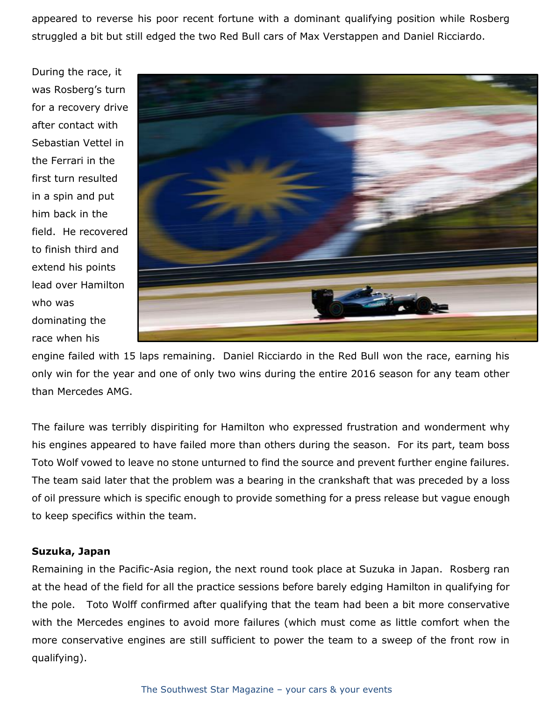appeared to reverse his poor recent fortune with a dominant qualifying position while Rosberg struggled a bit but still edged the two Red Bull cars of Max Verstappen and Daniel Ricciardo.

During the race, it was Rosberg's turn for a recovery drive after contact with Sebastian Vettel in the Ferrari in the first turn resulted in a spin and put him back in the field. He recovered to finish third and extend his points lead over Hamilton who was dominating the race when his



engine failed with 15 laps remaining. Daniel Ricciardo in the Red Bull won the race, earning his only win for the year and one of only two wins during the entire 2016 season for any team other than Mercedes AMG.

The failure was terribly dispiriting for Hamilton who expressed frustration and wonderment why his engines appeared to have failed more than others during the season. For its part, team boss Toto Wolf vowed to leave no stone unturned to find the source and prevent further engine failures. The team said later that the problem was a bearing in the crankshaft that was preceded by a loss of oil pressure which is specific enough to provide something for a press release but vague enough to keep specifics within the team.

### **Suzuka, Japan**

Remaining in the Pacific-Asia region, the next round took place at Suzuka in Japan. Rosberg ran at the head of the field for all the practice sessions before barely edging Hamilton in qualifying for the pole. Toto Wolff confirmed after qualifying that the team had been a bit more conservative with the Mercedes engines to avoid more failures (which must come as little comfort when the more conservative engines are still sufficient to power the team to a sweep of the front row in qualifying).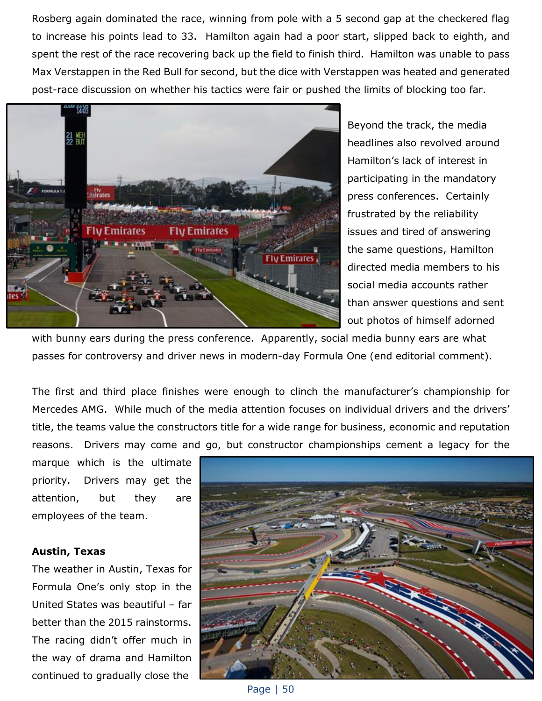Rosberg again dominated the race, winning from pole with a 5 second gap at the checkered flag to increase his points lead to 33. Hamilton again had a poor start, slipped back to eighth, and spent the rest of the race recovering back up the field to finish third. Hamilton was unable to pass Max Verstappen in the Red Bull for second, but the dice with Verstappen was heated and generated post-race discussion on whether his tactics were fair or pushed the limits of blocking too far.



Beyond the track, the media headlines also revolved around Hamilton's lack of interest in participating in the mandatory press conferences. Certainly frustrated by the reliability issues and tired of answering the same questions, Hamilton directed media members to his social media accounts rather than answer questions and sent out photos of himself adorned

with bunny ears during the press conference. Apparently, social media bunny ears are what passes for controversy and driver news in modern-day Formula One (end editorial comment).

The first and third place finishes were enough to clinch the manufacturer's championship for Mercedes AMG. While much of the media attention focuses on individual drivers and the drivers' title, the teams value the constructors title for a wide range for business, economic and reputation reasons. Drivers may come and go, but constructor championships cement a legacy for the

marque which is the ultimate priority. Drivers may get the attention, but they are employees of the team.

### **Austin, Texas**

The weather in Austin, Texas for Formula One's only stop in the United States was beautiful – far better than the 2015 rainstorms. The racing didn't offer much in the way of drama and Hamilton continued to gradually close the



Page | 50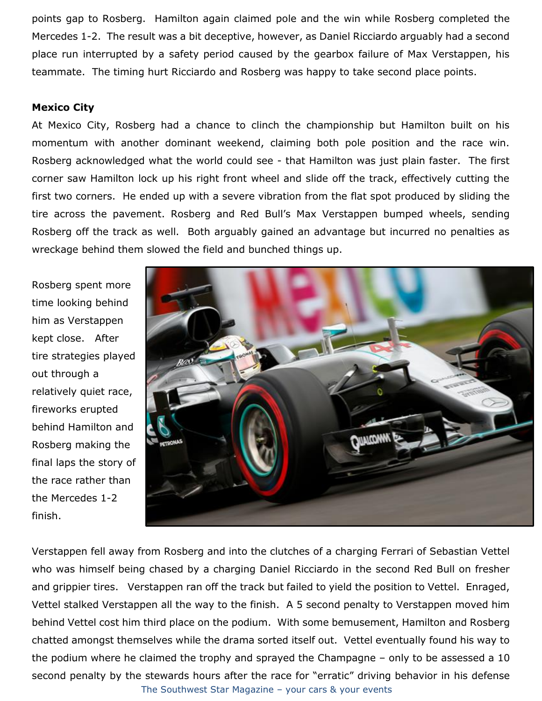points gap to Rosberg. Hamilton again claimed pole and the win while Rosberg completed the Mercedes 1-2. The result was a bit deceptive, however, as Daniel Ricciardo arguably had a second place run interrupted by a safety period caused by the gearbox failure of Max Verstappen, his teammate. The timing hurt Ricciardo and Rosberg was happy to take second place points.

## **Mexico City**

At Mexico City, Rosberg had a chance to clinch the championship but Hamilton built on his momentum with another dominant weekend, claiming both pole position and the race win. Rosberg acknowledged what the world could see - that Hamilton was just plain faster. The first corner saw Hamilton lock up his right front wheel and slide off the track, effectively cutting the first two corners. He ended up with a severe vibration from the flat spot produced by sliding the tire across the pavement. Rosberg and Red Bull's Max Verstappen bumped wheels, sending Rosberg off the track as well. Both arguably gained an advantage but incurred no penalties as wreckage behind them slowed the field and bunched things up.

Rosberg spent more time looking behind him as Verstappen kept close. After tire strategies played out through a relatively quiet race, fireworks erupted behind Hamilton and Rosberg making the final laps the story of the race rather than the Mercedes 1-2 finish.



The Southwest Star Magazine – your cars & your events Verstappen fell away from Rosberg and into the clutches of a charging Ferrari of Sebastian Vettel who was himself being chased by a charging Daniel Ricciardo in the second Red Bull on fresher and grippier tires. Verstappen ran off the track but failed to yield the position to Vettel. Enraged, Vettel stalked Verstappen all the way to the finish. A 5 second penalty to Verstappen moved him behind Vettel cost him third place on the podium. With some bemusement, Hamilton and Rosberg chatted amongst themselves while the drama sorted itself out. Vettel eventually found his way to the podium where he claimed the trophy and sprayed the Champagne – only to be assessed a 10 second penalty by the stewards hours after the race for "erratic" driving behavior in his defense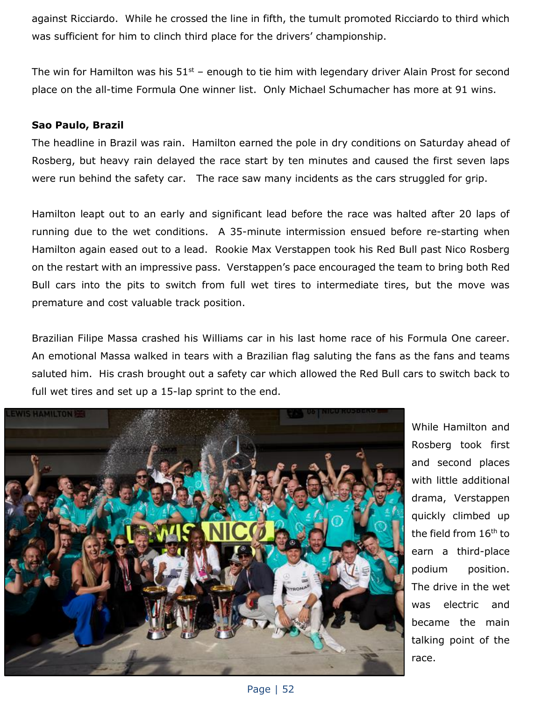against Ricciardo. While he crossed the line in fifth, the tumult promoted Ricciardo to third which was sufficient for him to clinch third place for the drivers' championship.

The win for Hamilton was his  $51^{st}$  – enough to tie him with legendary driver Alain Prost for second place on the all-time Formula One winner list. Only Michael Schumacher has more at 91 wins.

#### **Sao Paulo, Brazil**

The headline in Brazil was rain. Hamilton earned the pole in dry conditions on Saturday ahead of Rosberg, but heavy rain delayed the race start by ten minutes and caused the first seven laps were run behind the safety car. The race saw many incidents as the cars struggled for grip.

Hamilton leapt out to an early and significant lead before the race was halted after 20 laps of running due to the wet conditions. A 35-minute intermission ensued before re-starting when Hamilton again eased out to a lead. Rookie Max Verstappen took his Red Bull past Nico Rosberg on the restart with an impressive pass. Verstappen's pace encouraged the team to bring both Red Bull cars into the pits to switch from full wet tires to intermediate tires, but the move was premature and cost valuable track position.

Brazilian Filipe Massa crashed his Williams car in his last home race of his Formula One career. An emotional Massa walked in tears with a Brazilian flag saluting the fans as the fans and teams saluted him. His crash brought out a safety car which allowed the Red Bull cars to switch back to full wet tires and set up a 15-lap sprint to the end.



While Hamilton and Rosberg took first and second places with little additional drama, Verstappen quickly climbed up the field from 16<sup>th</sup> to earn a third-place podium position. The drive in the wet was electric and became the main talking point of the race.

Page | 52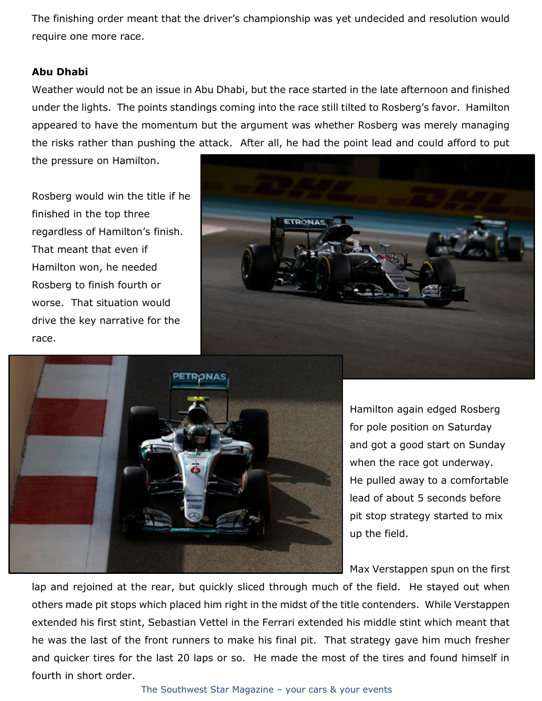The finishing order meant that the driver's championship was yet undecided and resolution would require one more race.

### **Abu Dhabi**

Weather would not be an issue in Abu Dhabi, but the race started in the late afternoon and finished under the lights. The points standings coming into the race still tilted to Rosberg's favor. Hamilton appeared to have the momentum but the argument was whether Rosberg was merely managing the risks rather than pushing the attack. After all, he had the point lead and could afford to put

the pressure on Hamilton.

Rosberg would win the title if he finished in the top three regardless of Hamilton's finish. That meant that even if Hamilton won, he needed Rosberg to finish fourth or worse. That situation would drive the key narrative for the race.





Hamilton again edged Rosberg for pole position on Saturday and got a good start on Sunday when the race got underway. He pulled away to a comfortable lead of about 5 seconds before pit stop strategy started to mix up the field.

Max Verstappen spun on the first

lap and rejoined at the rear, but quickly sliced through much of the field. He stayed out when others made pit stops which placed him right in the midst of the title contenders. While Verstappen extended his first stint, Sebastian Vettel in the Ferrari extended his middle stint which meant that he was the last of the front runners to make his final pit. That strategy gave him much fresher and quicker tires for the last 20 laps or so. He made the most of the tires and found himself in fourth in short order.

The Southwest Star Magazine – your cars & your events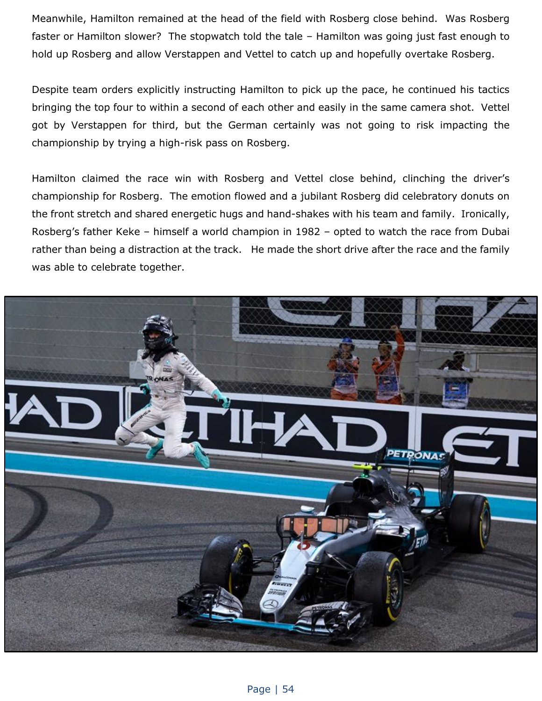Meanwhile, Hamilton remained at the head of the field with Rosberg close behind. Was Rosberg faster or Hamilton slower? The stopwatch told the tale – Hamilton was going just fast enough to hold up Rosberg and allow Verstappen and Vettel to catch up and hopefully overtake Rosberg.

Despite team orders explicitly instructing Hamilton to pick up the pace, he continued his tactics bringing the top four to within a second of each other and easily in the same camera shot. Vettel got by Verstappen for third, but the German certainly was not going to risk impacting the championship by trying a high-risk pass on Rosberg.

Hamilton claimed the race win with Rosberg and Vettel close behind, clinching the driver's championship for Rosberg. The emotion flowed and a jubilant Rosberg did celebratory donuts on the front stretch and shared energetic hugs and hand-shakes with his team and family. Ironically, Rosberg's father Keke – himself a world champion in 1982 – opted to watch the race from Dubai rather than being a distraction at the track. He made the short drive after the race and the family was able to celebrate together.